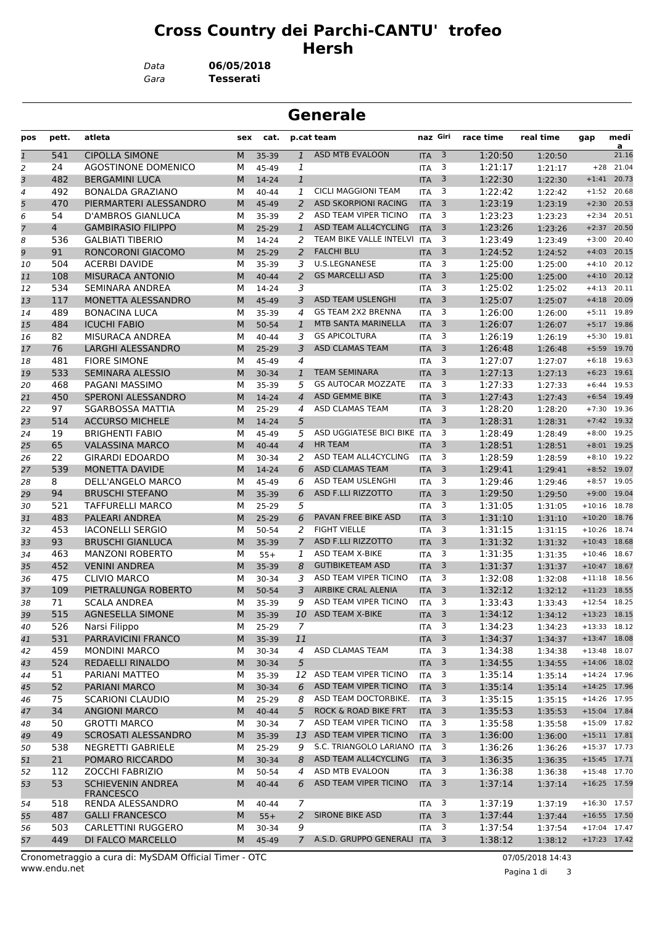## **Cross Country dei Parchi-CANTU' trofeo Hersh**

*Gara* **Tesserati** *Data* **06/05/2018**

| <b>Generale</b> |           |                                           |        |                |                |                                                   |                          |                         |                    |                    |                      |                |
|-----------------|-----------|-------------------------------------------|--------|----------------|----------------|---------------------------------------------------|--------------------------|-------------------------|--------------------|--------------------|----------------------|----------------|
| pos             | pett.     | atleta                                    | sex    | cat.           |                | p.cat team                                        | naz Giri                 |                         | race time          | real time          | gap                  | medi<br>a      |
| $\mathbf{1}$    | 541       | <b>CIPOLLA SIMONE</b>                     | M      | 35-39          | $\mathbf{1}$   | <b>ASD MTB EVALOON</b>                            | <b>ITA</b>               | $\overline{\mathbf{3}}$ | 1:20:50            | 1:20:50            |                      | 21.16          |
| 2               | 24        | <b>AGOSTINONE DOMENICO</b>                | м      | 45-49          | 1              |                                                   | <b>ITA</b>               | 3                       | 1:21:17            | 1:21:17            | $+28$                | 21.04          |
| 3               | 482       | <b>BERGAMINI LUCA</b>                     | M      | 14-24          | $\mathbf{1}$   |                                                   | <b>ITA</b>               | 3                       | 1:22:30            | 1:22:30            | $+1:41$              | 20.73          |
| 4               | 492       | <b>BONALDA GRAZIANO</b>                   | м      | 40-44          | 1              | <b>CICLI MAGGIONI TEAM</b>                        | <b>ITA</b>               | 3                       | 1:22:42            | 1:22:42            | $+1:52$              | 20.68          |
| 5               | 470       | PIERMARTERI ALESSANDRO                    | M      | 45-49          | 2              | <b>ASD SKORPIONI RACING</b>                       | <b>ITA</b>               | 3                       | 1:23:19            | 1:23:19            | $+2:30$              | 20.53          |
| 6               | 54        | D'AMBROS GIANLUCA                         | м      | 35-39          | 2              | ASD TEAM VIPER TICINO                             | <b>ITA</b>               | 3                       | 1:23:23            | 1:23:23            | $+2:34$              | 20.51          |
| $\overline{7}$  | 4         | <b>GAMBIRASIO FILIPPO</b>                 | M      | 25-29          | 1              | ASD TEAM ALL4CYCLING                              | <b>ITA</b>               | 3                       | 1:23:26            | 1:23:26            | $+2:37$              | 20.50          |
| 8               | 536       | <b>GALBIATI TIBERIO</b>                   | м      | 14-24          | 2              | TEAM BIKE VALLE INTELVI ITA                       |                          | 3                       | 1:23:49            | 1:23:49            | $+3:00$              | 20.40          |
| 9               | 91        | <b>RONCORONI GIACOMO</b>                  | M      | $25 - 29$      | 2              | <b>FALCHI BLU</b>                                 | <b>ITA</b>               | 3                       | 1:24:52            | 1:24:52            | $+4:03$              | 20.15          |
| 10              | 504       | <b>ACERBI DAVIDE</b>                      | м      | 35-39          | 3              | U.S.LEGNANESE                                     | <b>ITA</b>               | 3                       | 1:25:00            | 1:25:00            | $+4:10$              | 20.12          |
| 11              | 108       | <b>MISURACA ANTONIO</b>                   | M      | $40 - 44$      | 2              | <b>GS MARCELLI ASD</b>                            | <b>ITA</b>               | 3                       | 1:25:00            | 1:25:00            | $+4:10$              | 20.12          |
| 12              | 534       | SEMINARA ANDREA                           | м      | 14-24          | 3              |                                                   | <b>ITA</b>               | 3                       | 1:25:02            | 1:25:02            | $+4:13$              | 20.11          |
| 13              | 117       | <b>MONETTA ALESSANDRO</b>                 | M      | 45-49          | 3              | <b>ASD TEAM USLENGHI</b>                          | <b>ITA</b>               | 3                       | 1:25:07            | 1:25:07            | $+4:18$              | 20.09          |
| 14              | 489       | <b>BONACINA LUCA</b>                      | м      | 35-39          | 4              | <b>GS TEAM 2X2 BRENNA</b>                         | <b>ITA</b>               | 3                       | 1:26:00            | 1:26:00            | $+5:11$              | 19.89          |
| 15              | 484       | <b>ICUCHI FABIO</b>                       | M      | 50-54          | 1              | MTB SANTA MARINELLA                               | <b>ITA</b>               | 3                       | 1:26:07            | 1:26:07            | $+5:17$              | 19.86          |
| 16              | 82        | MISURACA ANDREA                           | м      | $40 - 44$      | 3              | <b>GS APICOLTURA</b>                              | <b>ITA</b>               | 3                       | 1:26:19            | 1:26:19            | $+5:30$              | 19.81          |
| 17              | 76        | LARGHI ALESSANDRO                         | M      | $25-29$        | 3              | <b>ASD CLAMAS TEAM</b>                            | <b>ITA</b>               | 3<br>3                  | 1:26:48            | 1:26:48            | $+5:59$              | 19.70          |
| 18              | 481       | <b>FIORE SIMONE</b>                       | м      | 45-49          | 4              |                                                   | <b>ITA</b>               | 3                       | 1:27:07            | 1:27:07            | $+6:18$              | 19.63          |
| 19              | 533       | <b>SEMINARA ALESSIO</b>                   | M      | 30-34          | 1              | <b>TEAM SEMINARA</b><br><b>GS AUTOCAR MOZZATE</b> | <b>ITA</b>               |                         | 1:27:13            | 1:27:13            | $+6:23$              | 19.61          |
| 20              | 468       | PAGANI MASSIMO                            | M      | 35-39          | 5              |                                                   | <b>ITA</b>               | 3                       | 1:27:33            | 1:27:33            | $+6:44$              | 19.53          |
| 21              | 450       | SPERONI ALESSANDRO                        | M      | 14-24          | $\overline{4}$ | <b>ASD GEMME BIKE</b><br><b>ASD CLAMAS TEAM</b>   | <b>ITA</b>               | 3                       | 1:27:43            | 1:27:43            | $+6:54$              | 19.49          |
| 22              | 97        | <b>SGARBOSSA MATTIA</b>                   | м      | $25-29$        | 4              |                                                   | <b>ITA</b>               | 3                       | 1:28:20            | 1:28:20            | $+7:30$              | 19.36          |
| 23              | 514       | <b>ACCURSO MICHELE</b>                    | M      | 14-24          | 5              | ASD UGGIATESE BICI BIKE                           | <b>ITA</b>               | 3<br>3                  | 1:28:31            | 1:28:31            | $+7:42$              | 19.32          |
| 24              | 19        | <b>BRIGHENTI FABIO</b>                    | м      | 45-49          | 5              |                                                   | <b>ITA</b>               |                         | 1:28:49            | 1:28:49            | $+8:00$              | 19.25          |
| 25              | 65        | <b>VALASSINA MARCO</b>                    | M      | $40 - 44$      | 4              | <b>HR TEAM</b><br>ASD TEAM ALL4CYCLING            | <b>ITA</b>               | 3                       | 1:28:51            | 1:28:51            | $+8:01$              | 19.25          |
| 26              | 22        | <b>GIRARDI EDOARDO</b>                    | м      | 30-34          | 2              |                                                   | <b>ITA</b>               | 3                       | 1:28:59            | 1:28:59            | $+8:10$              | 19.22          |
| 27              | 539       | <b>MONETTA DAVIDE</b>                     | M      | 14-24          | 6              | <b>ASD CLAMAS TEAM</b>                            | <b>ITA</b>               | 3                       | 1:29:41            | 1:29:41            | $+8:52$              | 19.07          |
| 28              | 8         | DELL'ANGELO MARCO                         | м      | 45-49          | 6              | ASD TEAM USLENGHI                                 | <b>ITA</b>               | 3                       | 1:29:46            | 1:29:46            | $+8:57$              | 19.05          |
| 29              | 94        | <b>BRUSCHI STEFANO</b>                    | M      | 35-39          | 6              | ASD F.LLI RIZZOTTO                                | <b>ITA</b>               | 3<br>3                  | 1:29:50            | 1:29:50            | $+9:00$              | 19.04          |
| 30              | 521       | TAFFURELLI MARCO                          | м      | 25-29          | 5              | PAVAN FREE BIKE ASD                               | <b>ITA</b>               |                         | 1:31:05            | 1:31:05            | $+10:16$             | 18.78          |
| 31              | 483       | PALEARI ANDREA<br><b>IACONELLI SERGIO</b> | M      | $25-29$        | 6<br>2         | <b>FIGHT VIELLE</b>                               | <b>ITA</b>               | 3<br>3                  | 1:31:10<br>1:31:15 | 1:31:10            | $+10:20$<br>$+10:26$ | 18.76<br>18.74 |
| 32              | 453<br>93 | <b>BRUSCHI GIANLUCA</b>                   | м<br>M | 50-54          | $\overline{7}$ | ASD F.LLI RIZZOTTO                                | <b>ITA</b><br><b>ITA</b> | 3                       | 1:31:32            | 1:31:15            | $+10:43$             | 18.68          |
| 33              | 463       | <b>MANZONI ROBERTO</b>                    | М      | 35-39          | 1              | ASD TEAM X-BIKE                                   | <b>ITA</b>               | 3                       | 1:31:35            | 1:31:32            | $+10:46$             | 18.67          |
| 34              | 452       | <b>VENINI ANDREA</b>                      | M      | $55+$<br>35-39 | 8              | <b>GUTIBIKETEAM ASD</b>                           | <b>ITA</b>               | 3                       | 1:31:37            | 1:31:35            | $+10:47$             | 18.67          |
| 35<br>36        | 475       | <b>CLIVIO MARCO</b>                       | м      |                | 3              | ASD TEAM VIPER TICINO                             | <b>ITA</b>               | 3                       | 1:32:08            | 1:31:37            | $+11:18$             | 18.56          |
| 37              | 109       | PIETRALUNGA ROBERTO                       | M      | 30-34<br>50-54 | 3              | <b>AIRBIKE CRAL ALENIA</b>                        | <b>ITA</b>               | 3                       | 1:32:12            | 1:32:08<br>1:32:12 | $+11:23$ 18.55       |                |
| 38              | 71        | <b>SCALA ANDREA</b>                       |        | 35-39          | 9              | ASD TEAM VIPER TICINO                             | <b>ITA</b>               | $\overline{\mathbf{3}}$ | 1:33:43            | 1:33:43            | $+12:54$ 18.25       |                |
| 39              | 515       | AGNESELLA SIMONE                          | M<br>M | 35-39          | 10             | <b>ASD TEAM X-BIKE</b>                            | <b>ITA</b>               | $\overline{\mathbf{3}}$ | 1:34:12            | 1:34:12            | $+13:23$ 18.15       |                |
| 40              | 526       | Narsi Filippo                             | М      | $25-29$        | 7              |                                                   | <b>ITA</b>               | $\overline{\mathbf{3}}$ | 1:34:23            | 1:34:23            | $+13:33$ 18.12       |                |
| 41              | 531       | PARRAVICINI FRANCO                        | M      | 35-39          | 11             |                                                   | $ITA$ 3                  |                         | 1:34:37            | 1:34:37            | $+13:47$ 18.08       |                |
| 42              | 459       | <b>MONDINI MARCO</b>                      | М      | 30-34          | 4              | ASD CLAMAS TEAM                                   | ITA                      | $\overline{\mathbf{3}}$ | 1:34:38            | 1:34:38            | $+13:48$ 18.07       |                |
| 43              | 524       | <b>REDAELLI RINALDO</b>                   | M      | 30-34          | 5              |                                                   | $ITA$ 3                  |                         | 1:34:55            | 1:34:55            | $+14:06$ 18.02       |                |
| 44              | 51        | PARIANI MATTEO                            | м      | 35-39          |                | 12 ASD TEAM VIPER TICINO                          | <b>ITA</b>               | $\overline{\mathbf{3}}$ | 1:35:14            | 1:35:14            | $+14:24$ 17.96       |                |
| 45              | 52        | PARIANI MARCO                             | M      | 30-34          | 6              | ASD TEAM VIPER TICINO                             | <b>ITA</b>               | $\overline{\mathbf{3}}$ | 1:35:14            | 1:35:14            | $+14:25$ 17.96       |                |
| 46              | 75        | <b>SCARIONI CLAUDIO</b>                   | М      | 25-29          | 8              | ASD TEAM DOCTORBIKE.                              | <b>ITA</b>               | $\overline{\mathbf{3}}$ | 1:35:15            | 1:35:15            | $+14:26$ 17.95       |                |
| 47              | 34        | <b>ANGIONI MARCO</b>                      | M      | $40 - 44$      | 5              | <b>ROCK &amp; ROAD BIKE FRT</b>                   | <b>ITA</b>               | $\overline{\mathbf{3}}$ | 1:35:53            | 1:35:53            | $+15:04$ 17.84       |                |
| 48              | 50        | <b>GROTTI MARCO</b>                       | М      | 30-34          | 7              | ASD TEAM VIPER TICINO                             | <b>ITA</b>               | $\overline{3}$          | 1:35:58            | 1:35:58            | $+15:09$ 17.82       |                |
| 49              | 49        | SCROSATI ALESSANDRO                       | M      | 35-39          | 13             | ASD TEAM VIPER TICINO                             | <b>ITA</b>               | $\overline{\mathbf{3}}$ | 1:36:00            | 1:36:00            | $+15:11$ 17.81       |                |
| 50              | 538       | <b>NEGRETTI GABRIELE</b>                  | м      | 25-29          | 9              | S.C. TRIANGOLO LARIANO ITA                        |                          | $\overline{\mathbf{3}}$ | 1:36:26            | 1:36:26            | $+15:37$ 17.73       |                |
| 51              | 21        | POMARO RICCARDO                           | M      | 30-34          | 8              | ASD TEAM ALL4CYCLING                              | <b>ITA</b>               | $\overline{\mathbf{3}}$ | 1:36:35            | 1:36:35            | $+15:45$ 17.71       |                |
| 52              | 112       | ZOCCHI FABRIZIO                           | М      | 50-54          | 4              | ASD MTB EVALOON                                   | <b>ITA</b>               | $\overline{\mathbf{3}}$ | 1:36:38            | 1:36:38            | $+15:48$ 17.70       |                |
| 53              | 53        | <b>SCHIEVENIN ANDREA</b>                  | M      | $40 - 44$      | 6              | ASD TEAM VIPER TICINO                             | <b>ITA</b>               | $\overline{\mathbf{3}}$ | 1:37:14            | 1:37:14            | $+16:25$ 17.59       |                |
|                 |           | <b>FRANCESCO</b>                          |        |                |                |                                                   |                          |                         |                    |                    |                      |                |
| 54              | 518       | RENDA ALESSANDRO                          | М      | 40-44          | $\overline{7}$ |                                                   | ITA                      | $\overline{\mathbf{3}}$ | 1:37:19            | 1:37:19            | $+16:30$ 17.57       |                |
| 55              | 487       | <b>GALLI FRANCESCO</b>                    | M      | $55+$          | 2              | <b>SIRONE BIKE ASD</b>                            | <b>ITA</b>               | $\overline{\mathbf{3}}$ | 1:37:44            | 1:37:44            | $+16:55$ 17.50       |                |
| 56              | 503       | CARLETTINI RUGGERO                        | М      | 30-34          | 9              |                                                   | <b>ITA</b>               | $\overline{\mathbf{3}}$ | 1:37:54            | 1:37:54            |                      | $+17:04$ 17.47 |
| 57              | 449       | DI FALCO MARCELLO                         | М      | 45-49          | $\overline{7}$ | A.S.D. GRUPPO GENERALI ITA 3                      |                          |                         | 1:38:12            | 1:38:12            | $+17:23$ 17.42       |                |
|                 |           |                                           |        |                |                |                                                   |                          |                         |                    |                    |                      |                |

www.endu.net Cronometraggio a cura di: MySDAM Official Timer - OTC 07/05/2018 14:43

Pagina 1 di 3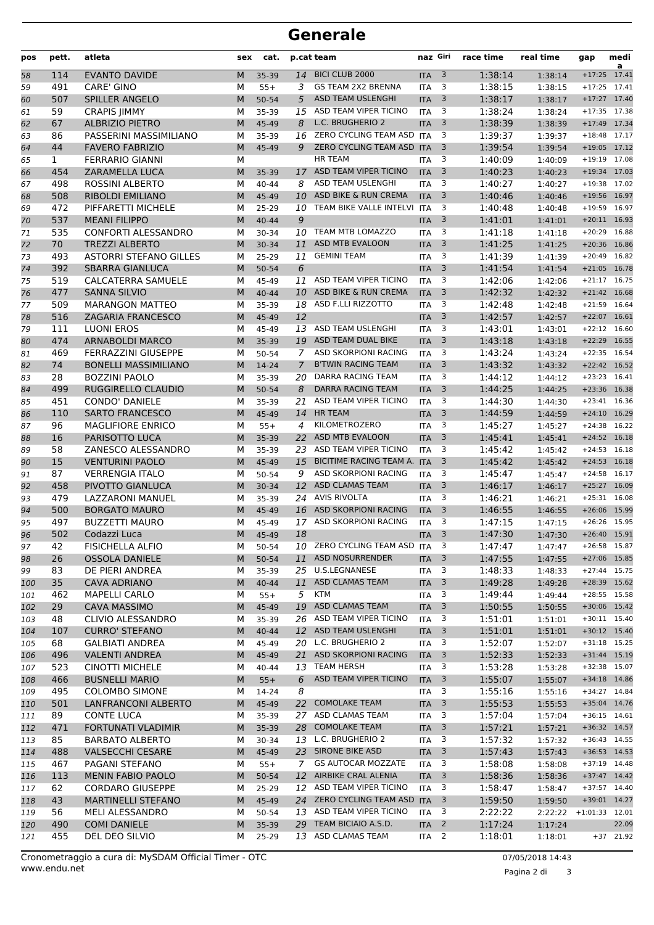## **Generale**

| pos        | pett.        | atleta                        | sex | cat.      |                | p.cat team                     | naz Giri   |                         | race time | real time | gap              | medi<br>a   |
|------------|--------------|-------------------------------|-----|-----------|----------------|--------------------------------|------------|-------------------------|-----------|-----------|------------------|-------------|
| 58         | 114          | <b>EVANTO DAVIDE</b>          | M   | 35-39     | 14             | BICI CLUB 2000                 | <b>ITA</b> | 3                       | 1:38:14   | 1:38:14   | $+17:25$         | 17.41       |
| 59         | 491          | <b>CARE' GINO</b>             | М   | $55+$     | 3              | <b>GS TEAM 2X2 BRENNA</b>      | <b>ITA</b> | 3                       | 1:38:15   | 1:38:15   | $+17:25$         | 17.41       |
| 60         | 507          | <b>SPILLER ANGELO</b>         | M   | 50-54     | 5              | <b>ASD TEAM USLENGHI</b>       | <b>ITA</b> | 3                       | 1:38:17   | 1:38:17   | $+17:27$         | 17.40       |
| 61         | 59           | <b>CRAPIS JIMMY</b>           | М   | 35-39     | 15             | ASD TEAM VIPER TICINO          | <b>ITA</b> | 3                       | 1:38:24   | 1:38:24   | $+17:35$         | 17.38       |
| 62         | 67           | <b>ALBRIZIO PIETRO</b>        | M   | 45-49     | 8              | L.C. BRUGHERIO 2               | <b>ITA</b> | 3                       | 1:38:39   | 1:38:39   | $+17:49$         | 17.34       |
| 63         | 86           | PASSERINI MASSIMILIANO        | М   | 35-39     | 16             | ZERO CYCLING TEAM ASD ITA      |            | 3                       | 1:39:37   | 1:39:37   | $+18:48$ 17.17   |             |
| 64         | 44           | <b>FAVERO FABRIZIO</b>        | M   | 45-49     | 9              | ZERO CYCLING TEAM ASD ITA      |            | 3                       | 1:39:54   | 1:39:54   | $+19:05$         | 17.12       |
| 65         | $\mathbf{1}$ | <b>FERRARIO GIANNI</b>        | М   |           |                | <b>HR TEAM</b>                 | <b>ITA</b> | 3                       | 1:40:09   | 1:40:09   | $+19:19$         | 17.08       |
| 66         | 454          | <b>ZARAMELLA LUCA</b>         | M   | 35-39     | 17             | ASD TEAM VIPER TICINO          | <b>ITA</b> | $\overline{3}$          | 1:40:23   | 1:40:23   | $+19:34$         | 17.03       |
| 67         | 498          | <b>ROSSINI ALBERTO</b>        | М   | $40 - 44$ | 8              | ASD TEAM USLENGHI              | <b>ITA</b> | 3                       | 1:40:27   | 1:40:27   | $+19:38$         | 17.02       |
| 68         | 508          | <b>RIBOLDI EMILIANO</b>       | M   | 45-49     | 10             | ASD BIKE & RUN CREMA           | <b>ITA</b> | 3                       | 1:40:46   | 1:40:46   | $+19:56$         | 16.97       |
| 69         | 472          | PIFFARETTI MICHELE            | М   | $25-29$   | 10             | TEAM BIKE VALLE INTELVI ITA    |            | 3                       | 1:40:48   | 1:40:48   | $+19:59$         | 16.97       |
| 70         | 537          | <b>MEANI FILIPPO</b>          | M   | $40 - 44$ | 9              |                                | <b>ITA</b> | 3                       | 1:41:01   | 1:41:01   | $+20:11$         | 16.93       |
| 71         | 535          | <b>CONFORTI ALESSANDRO</b>    | M   | 30-34     | 10             | TEAM MTB LOMAZZO               | <b>ITA</b> | 3                       | 1:41:18   | 1:41:18   | $+20:29$         | 16.88       |
| 72         | 70           | <b>TREZZI ALBERTO</b>         | M   | 30-34     | 11             | ASD MTB EVALOON                | <b>ITA</b> | 3                       | 1:41:25   | 1:41:25   | $+20:36$         | 16.86       |
| 73         | 493          | <b>ASTORRI STEFANO GILLES</b> | М   | 25-29     | 11             | <b>GEMINI TEAM</b>             | <b>ITA</b> | 3                       | 1:41:39   | 1:41:39   | $+20:49$         | 16.82       |
| 74         | 392          | <b>SBARRA GIANLUCA</b>        | M   | 50-54     | 6              |                                | <b>ITA</b> | 3                       | 1:41:54   | 1:41:54   | $+21:05$         | 16.78       |
| 75         | 519          | CALCATERRA SAMUELE            | М   | 45-49     | 11             | ASD TEAM VIPER TICINO          | <b>ITA</b> | 3                       | 1:42:06   | 1:42:06   | $+21:17$         | 16.75       |
| 76         | 477          | <b>SANNA SILVIO</b>           | M   | $40 - 44$ | 10             | ASD BIKE & RUN CREMA           | <b>ITA</b> | 3                       | 1:42:32   | 1:42:32   | $+21:42$         | 16.68       |
| 77         | 509          | <b>MARANGON MATTEO</b>        | М   | 35-39     |                | 18 ASD F.LLI RIZZOTTO          | <b>ITA</b> | 3                       | 1:42:48   | 1:42:48   | $+21:59$         | 16.64       |
|            | 516          | <b>ZAGARIA FRANCESCO</b>      | M   | 45-49     | 12             |                                | <b>ITA</b> | 3                       | 1:42:57   |           | $+22:07$         | 16.61       |
| 78         |              |                               |     |           |                | ASD TEAM USLENGHI              |            | 3                       |           | 1:42:57   | $+22:12$         | 16.60       |
| 79         | 111          | <b>LUONI EROS</b>             | М   | 45-49     | 13             |                                | <b>ITA</b> |                         | 1:43:01   | 1:43:01   |                  |             |
| 80         | 474          | <b>ARNABOLDI MARCO</b>        | M   | 35-39     | 19             | ASD TEAM DUAL BIKE             | <b>ITA</b> | 3                       | 1:43:18   | 1:43:18   | $+22:29$         | 16.55       |
| 81         | 469          | <b>FERRAZZINI GIUSEPPE</b>    | М   | 50-54     | 7              | ASD SKORPIONI RACING           | <b>ITA</b> | 3                       | 1:43:24   | 1:43:24   | $+22:35$         | 16.54       |
| 82         | 74           | <b>BONELLI MASSIMILIANO</b>   | M   | 14-24     | $\overline{7}$ | <b>B'TWIN RACING TEAM</b>      | <b>ITA</b> | 3                       | 1:43:32   | 1:43:32   | $+22:42$         | 16.52       |
| 83         | 28           | <b>BOZZINI PAOLO</b>          | M   | 35-39     | 20             | DARRA RACING TEAM              | <b>ITA</b> | 3                       | 1:44:12   | 1:44:12   | $+23:23$         | 16.41       |
| 84         | 499          | RUGGIRELLO CLAUDIO            | M   | 50-54     | 8              | <b>DARRA RACING TEAM</b>       | <b>ITA</b> | 3                       | 1:44:25   | 1:44:25   | $+23:36$         | 16.38       |
| 85         | 451          | <b>CONDO' DANIELE</b>         | М   | 35-39     | 21             | ASD TEAM VIPER TICINO          | <b>ITA</b> | 3                       | 1:44:30   | 1:44:30   | $+23:41$         | 16.36       |
| 86         | 110          | <b>SARTO FRANCESCO</b>        | M   | 45-49     | 14             | <b>HR TEAM</b>                 | <b>ITA</b> | 3                       | 1:44:59   | 1:44:59   | $+24:10$         | 16.29       |
| 87         | 96           | <b>MAGLIFIORE ENRICO</b>      | М   | $55+$     | 4              | KILOMETROZERO                  | <b>ITA</b> | 3                       | 1:45:27   | 1:45:27   | $+24:38$         | 16.22       |
| 88         | 16           | PARISOTTO LUCA                | M   | 35-39     | 22             | ASD MTB EVALOON                | <b>ITA</b> | 3                       | 1:45:41   | 1:45:41   | $+24:52$         | 16.18       |
| 89         | 58           | ZANESCO ALESSANDRO            | М   | 35-39     | 23             | ASD TEAM VIPER TICINO          | <b>ITA</b> | 3                       | 1:45:42   | 1:45:42   | $+24:53$         | 16.18       |
| 90         | 15           | <b>VENTURINI PAOLO</b>        | M   | 45-49     | 15             | BICITIME RACING TEAM A. ITA    |            | 3                       | 1:45:42   | 1:45:42   | $+24:53$         | 16.18       |
| 91         | 87           | <b>VERRENGIA ITALO</b>        | М   | 50-54     | 9              | <b>ASD SKORPIONI RACING</b>    | <b>ITA</b> | 3                       | 1:45:47   | 1:45:47   | $+24:58$         | 16.17       |
| 92         | 458          | PIVOTTO GIANLUCA              | M   | 30-34     | 12             | <b>ASD CLAMAS TEAM</b>         | <b>ITA</b> | 3                       | 1:46:17   | 1:46:17   | $+25:27$         | 16.09       |
| 93         | 479          | LAZZARONI MANUEL              | М   | 35-39     | 24             | AVIS RIVOLTA                   | <b>ITA</b> | 3                       | 1:46:21   | 1:46:21   | $+25:31$         | 16.08       |
| 94         | 500          | <b>BORGATO MAURO</b>          | M   | 45-49     | 16             | <b>ASD SKORPIONI RACING</b>    | <b>ITA</b> | 3                       | 1:46:55   | 1:46:55   | $+26:06$         | 15.99       |
| 95         | 497          | <b>BUZZETTI MAURO</b>         | М   | 45-49     | 17             | ASD SKORPIONI RACING           | <b>ITA</b> | 3                       | 1:47:15   | 1:47:15   | $+26:26$         | 15.95       |
| 96         | 502          | Codazzi Luca                  | M   | 45-49     | 18             |                                | <b>ITA</b> | 3                       | 1:47:30   | 1:47:30   | $+26:40$ 15.91   |             |
| 97         | 42           | <b>FISICHELLA ALFIO</b>       | м   | 50-54     |                | 10 ZERO CYCLING TEAM ASD ITA 3 |            |                         | 1:47:47   | 1:47:47   | $+26:58$ 15.87   |             |
| 98         | 26           | <b>OSSOLA DANIELE</b>         | M   | 50-54     | 11             | <b>ASD NOSURRENDER</b>         | $ITA$ 3    |                         | 1:47:55   | 1:47:55   | +27:06 15.85     |             |
| 99         | 83           | DE PIERI ANDREA               | м   | 35-39     |                | 25 U.S.LEGNANESE               | <b>ITA</b> | 3                       | 1:48:33   | 1:48:33   | $+27:44$ 15.75   |             |
| 100        | 35           | <b>CAVA ADRIANO</b>           | M   | $40 - 44$ | 11             | ASD CLAMAS TEAM                | <b>ITA</b> | $\overline{\mathbf{3}}$ | 1:49:28   | 1:49:28   | +28:39 15.62     |             |
| 101        | 462          | MAPELLI CARLO                 | М   | $55+$     |                | 5 KTM                          | <b>ITA</b> | 3                       | 1:49:44   | 1:49:44   | +28:55 15.58     |             |
| 102        | 29           | <b>CAVA MASSIMO</b>           | M   | 45-49     |                | 19 ASD CLAMAS TEAM             | <b>ITA</b> | $\overline{\mathbf{3}}$ | 1:50:55   | 1:50:55   | +30:06 15.42     |             |
| 103        | 48           | <b>CLIVIO ALESSANDRO</b>      | М   | 35-39     |                | 26 ASD TEAM VIPER TICINO       | <b>ITA</b> | 3                       | 1:51:01   | 1:51:01   | $+30:11$ 15.40   |             |
| 104        | 107          | <b>CURRO' STEFANO</b>         | M   | 40-44     |                | 12 ASD TEAM USLENGHI           | <b>ITA</b> | $\overline{\mathbf{3}}$ | 1:51:01   | 1:51:01   | $+30:12$ 15.40   |             |
| 105        | 68           | <b>GALBIATI ANDREA</b>        | м   | 45-49     |                | 20 L.C. BRUGHERIO 2            | <b>ITA</b> | 3                       | 1:52:07   | 1:52:07   | $+31:18$ 15.25   |             |
| 106        | 496          | <b>VALENTI ANDREA</b>         | M   | 45-49     |                | 21 ASD SKORPIONI RACING        | <b>ITA</b> | 3                       | 1:52:33   | 1:52:33   | $+31:44$ 15.19   |             |
| 107        | 523          | <b>CINOTTI MICHELE</b>        | М   | 40-44     |                | 13 TEAM HERSH                  | ITA        | $\overline{\mathbf{3}}$ | 1:53:28   | 1:53:28   | +32:38 15.07     |             |
|            | 466          | <b>BUSNELLI MARIO</b>         | M   | $55+$     | 6              | ASD TEAM VIPER TICINO          | <b>ITA</b> | $\overline{\mathbf{3}}$ | 1:55:07   | 1:55:07   | $+34:18$ 14.86   |             |
| 108<br>109 | 495          | <b>COLOMBO SIMONE</b>         | м   | 14-24     | 8              |                                | ITA        | 3                       | 1:55:16   | 1:55:16   | +34:27 14.84     |             |
|            | 501          | LANFRANCONI ALBERTO           |     |           |                | 22 COMOLAKE TEAM               |            | $\overline{\mathbf{3}}$ | 1:55:53   |           | +35:04 14.76     |             |
| 110        |              |                               | M   | 45-49     |                | 27 ASD CLAMAS TEAM             | <b>ITA</b> |                         |           | 1:55:53   | $+36:15$ 14.61   |             |
| 111        | 89           | <b>CONTE LUCA</b>             | м   | 35-39     |                |                                | <b>ITA</b> | 3                       | 1:57:04   | 1:57:04   |                  |             |
| 112        | 471          | FORTUNATI VLADIMIR            | M   | 35-39     |                | 28 COMOLAKE TEAM               | <b>ITA</b> | 3                       | 1:57:21   | 1:57:21   | +36:32 14.57     |             |
| 113        | 85           | <b>BARBATO ALBERTO</b>        | М   | 30-34     |                | 13 L.C. BRUGHERIO 2            | <b>ITA</b> | 3                       | 1:57:32   | 1:57:32   | +36:43 14.55     |             |
| 114        | 488          | <b>VALSECCHI CESARE</b>       | M   | 45-49     |                | 23 SIRONE BIKE ASD             | <b>ITA</b> | $\overline{\mathbf{3}}$ | 1:57:43   | 1:57:43   | +36:53 14.53     |             |
| 115        | 467          | PAGANI STEFANO                | М   | $55+$     | 7              | <b>GS AUTOCAR MOZZATE</b>      | ITA        | $\overline{\mathbf{3}}$ | 1:58:08   | 1:58:08   | $+37:19$ 14.48   |             |
| 116        | 113          | <b>MENIN FABIO PAOLO</b>      | M   | 50-54     |                | 12 AIRBIKE CRAL ALENIA         | <b>ITA</b> | $\overline{\mathbf{3}}$ | 1:58:36   | 1:58:36   | $+37:47$ 14.42   |             |
| 117        | 62           | <b>CORDARO GIUSEPPE</b>       | м   | 25-29     |                | 12 ASD TEAM VIPER TICINO       | <b>ITA</b> | 3                       | 1:58:47   | 1:58:47   | $+37:57$ 14.40   |             |
| 118        | 43           | <b>MARTINELLI STEFANO</b>     | M   | 45-49     |                | 24 ZERO CYCLING TEAM ASD ITA   |            | 3                       | 1:59:50   | 1:59:50   | +39:01 14.27     |             |
| 119        | 56           | <b>MELI ALESSANDRO</b>        | М   | 50-54     |                | 13 ASD TEAM VIPER TICINO       | <b>ITA</b> | 3                       | 2:22:22   | 2:22:22   | $+1:01:33$ 12.01 |             |
| 120        | 490          | <b>COMI DANIELE</b>           | M   | 35-39     |                | 29 TEAM BICIAIO A.S.D.         | <b>ITA</b> | $\overline{2}$          | 1:17:24   | 1:17:24   |                  | 22.09       |
| 121        | 455          | DEL DEO SILVIO                | м   | 25-29     |                | 13 ASD CLAMAS TEAM             | <b>ITA</b> | $\overline{2}$          | 1:18:01   | 1:18:01   |                  | $+37$ 21.92 |

Pagina 2 di 3